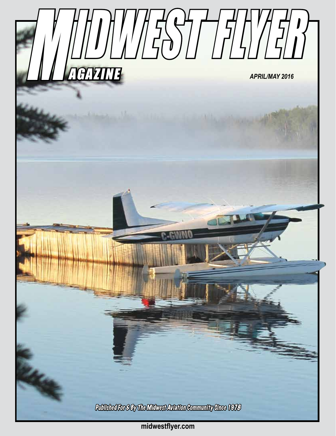

**midwestflyer.com**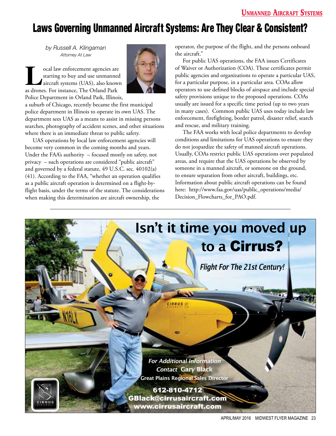## Laws Governing Unmanned Aircraft Systems: Are They Clear & Consistent?

*by Russell A. Klingaman Attorney At Law*

**Local law enforcement agencies are<br>starting to buy and use unmanned<br>aircraft systems (UAS), also known<br>as drones For instance The Orland Park** starting to buy and use unmanned aircraft systems (UAS), also known as drones. For instance, The Orland Park Police Department in Orland Park, Illinois,



a suburb of Chicago, recently became the first municipal police department in Illinois to operate its own UAS. The department sees UAS as a means to assist in missing persons searches, photography of accident scenes, and other situations where there is an immediate threat to public safety.

UAS operations by local law enforcement agencies will become very common in the coming months and years. Under the FAA's authority – focused mostly on safety, not privacy – such operations are considered "public aircraft" and governed by a federal statute, 49 U.S.C. sec. 40102(a) (41). According to the FAA, "whether an operation qualifies as a public aircraft operation is determined on a flight-byflight basis, under the terms of the statute. The considerations when making this determination are aircraft ownership, the

operator, the purpose of the flight, and the persons onboard the aircraft."

For public UAS operations, the FAA issues Certificates of Waiver or Authorization (COA). These certificates permit public agencies and organizations to operate a particular UAS, for a particular purpose, in a particular area. COAs allow operators to use defined blocks of airspace and include special safety provisions unique to the proposed operations. COAs usually are issued for a specific time period (up to two years in many cases). Common public UAS uses today include law enforcement, firefighting, border patrol, disaster relief, search and rescue, and military training.

The FAA works with local police departments to develop conditions and limitations for UAS operations to ensure they do not jeopardize the safety of manned aircraft operations. Usually, COAs restrict public UAS operations over populated areas, and require that the UAS operations be observed by someone in a manned aircraft, or someone on the ground, to ensure separation from other aircraft, buildings, etc. Information about public aircraft operations can be found here: http://www.faa.gov/uas/public\_operations/media/ Decision\_Flowcharts\_for\_PAO.pdf.